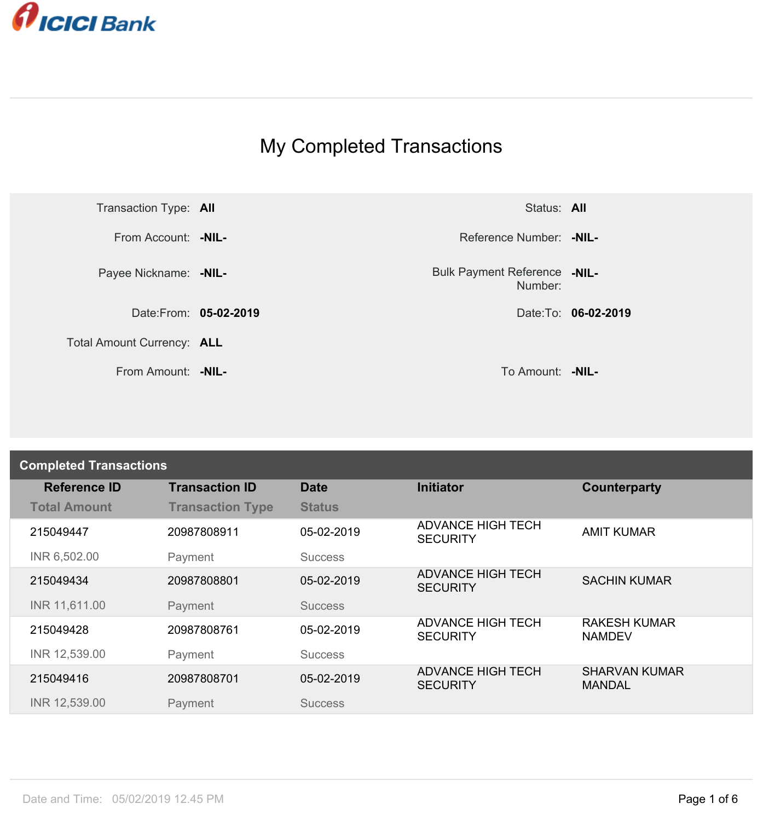

## My Completed Transactions



Number: **-NIL-**

| <b>Completed Transactions</b> |                         |                |                                             |                                       |  |
|-------------------------------|-------------------------|----------------|---------------------------------------------|---------------------------------------|--|
| <b>Reference ID</b>           | <b>Transaction ID</b>   | <b>Date</b>    | <b>Initiator</b>                            | Counterparty                          |  |
| <b>Total Amount</b>           | <b>Transaction Type</b> | <b>Status</b>  |                                             |                                       |  |
| 215049447                     | 20987808911             | 05-02-2019     | <b>ADVANCE HIGH TECH</b><br><b>SECURITY</b> | <b>AMIT KUMAR</b>                     |  |
| INR 6,502.00                  | Payment                 | <b>Success</b> |                                             |                                       |  |
| 215049434                     | 20987808801             | 05-02-2019     | <b>ADVANCE HIGH TECH</b><br><b>SECURITY</b> | <b>SACHIN KUMAR</b>                   |  |
| INR 11,611.00                 | Payment                 | <b>Success</b> |                                             |                                       |  |
| 215049428                     | 20987808761             | 05-02-2019     | <b>ADVANCE HIGH TECH</b><br><b>SECURITY</b> | <b>RAKESH KUMAR</b><br><b>NAMDEV</b>  |  |
| INR 12,539.00                 | Payment                 | <b>Success</b> |                                             |                                       |  |
| 215049416                     | 20987808701             | 05-02-2019     | <b>ADVANCE HIGH TECH</b><br><b>SECURITY</b> | <b>SHARVAN KUMAR</b><br><b>MANDAL</b> |  |
| INR 12,539.00                 | Payment                 | <b>Success</b> |                                             |                                       |  |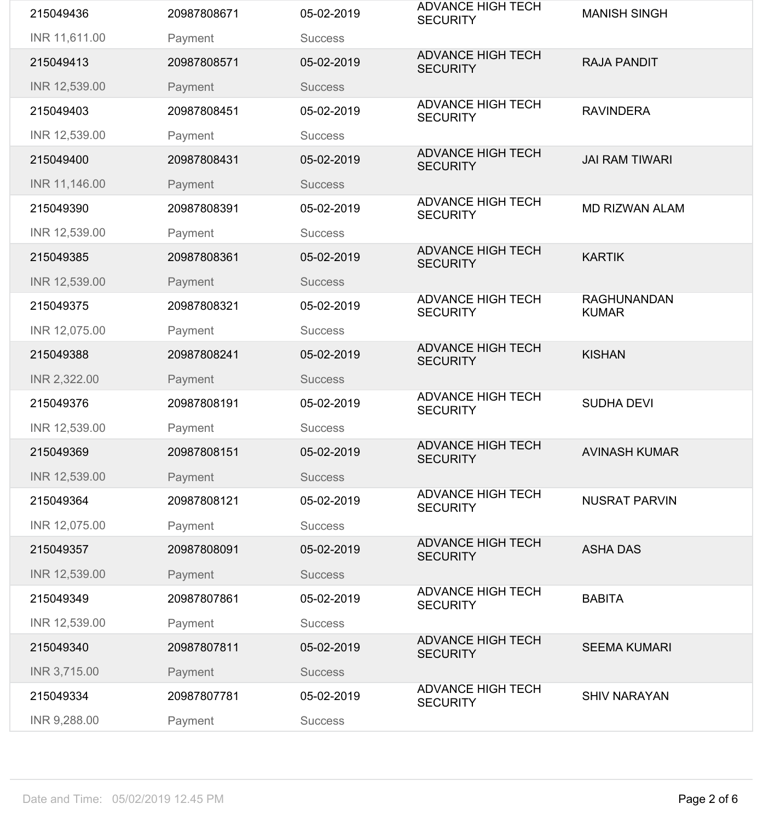| 215049436     | 20987808671 | 05-02-2019     | <b>ADVANCE HIGH TECH</b><br><b>SECURITY</b> | <b>MANISH SINGH</b>                |
|---------------|-------------|----------------|---------------------------------------------|------------------------------------|
| INR 11,611.00 | Payment     | <b>Success</b> |                                             |                                    |
| 215049413     | 20987808571 | 05-02-2019     | <b>ADVANCE HIGH TECH</b><br><b>SECURITY</b> | <b>RAJA PANDIT</b>                 |
| INR 12,539.00 | Payment     | <b>Success</b> |                                             |                                    |
| 215049403     | 20987808451 | 05-02-2019     | <b>ADVANCE HIGH TECH</b><br><b>SECURITY</b> | <b>RAVINDERA</b>                   |
| INR 12,539.00 | Payment     | <b>Success</b> |                                             |                                    |
| 215049400     | 20987808431 | 05-02-2019     | <b>ADVANCE HIGH TECH</b><br><b>SECURITY</b> | <b>JAI RAM TIWARI</b>              |
| INR 11,146.00 | Payment     | <b>Success</b> |                                             |                                    |
| 215049390     | 20987808391 | 05-02-2019     | <b>ADVANCE HIGH TECH</b><br><b>SECURITY</b> | <b>MD RIZWAN ALAM</b>              |
| INR 12,539.00 | Payment     | <b>Success</b> |                                             |                                    |
| 215049385     | 20987808361 | 05-02-2019     | <b>ADVANCE HIGH TECH</b><br><b>SECURITY</b> | <b>KARTIK</b>                      |
| INR 12,539.00 | Payment     | <b>Success</b> |                                             |                                    |
| 215049375     | 20987808321 | 05-02-2019     | <b>ADVANCE HIGH TECH</b><br><b>SECURITY</b> | <b>RAGHUNANDAN</b><br><b>KUMAR</b> |
| INR 12,075.00 | Payment     | <b>Success</b> |                                             |                                    |
| 215049388     | 20987808241 | 05-02-2019     | <b>ADVANCE HIGH TECH</b><br><b>SECURITY</b> | <b>KISHAN</b>                      |
| INR 2,322.00  | Payment     | <b>Success</b> |                                             |                                    |
| 215049376     | 20987808191 | 05-02-2019     | <b>ADVANCE HIGH TECH</b><br><b>SECURITY</b> | <b>SUDHA DEVI</b>                  |
| INR 12,539.00 | Payment     | <b>Success</b> |                                             |                                    |
| 215049369     | 20987808151 | 05-02-2019     | <b>ADVANCE HIGH TECH</b><br><b>SECURITY</b> | <b>AVINASH KUMAR</b>               |
| INR 12,539.00 | Payment     | <b>Success</b> |                                             |                                    |
| 215049364     | 20987808121 | 05-02-2019     | <b>ADVANCE HIGH TECH</b><br><b>SECURITY</b> | <b>NUSRAT PARVIN</b>               |
| INR 12,075.00 | Payment     | <b>Success</b> |                                             |                                    |
| 215049357     | 20987808091 | 05-02-2019     | <b>ADVANCE HIGH TECH</b><br><b>SECURITY</b> | <b>ASHA DAS</b>                    |
| INR 12,539.00 | Payment     | <b>Success</b> |                                             |                                    |
| 215049349     | 20987807861 | 05-02-2019     | <b>ADVANCE HIGH TECH</b><br><b>SECURITY</b> | <b>BABITA</b>                      |
| INR 12,539.00 | Payment     | <b>Success</b> |                                             |                                    |
| 215049340     | 20987807811 | 05-02-2019     | <b>ADVANCE HIGH TECH</b><br><b>SECURITY</b> | <b>SEEMA KUMARI</b>                |
| INR 3,715.00  | Payment     | <b>Success</b> |                                             |                                    |
| 215049334     | 20987807781 | 05-02-2019     | <b>ADVANCE HIGH TECH</b><br><b>SECURITY</b> | <b>SHIV NARAYAN</b>                |
| INR 9,288.00  | Payment     | <b>Success</b> |                                             |                                    |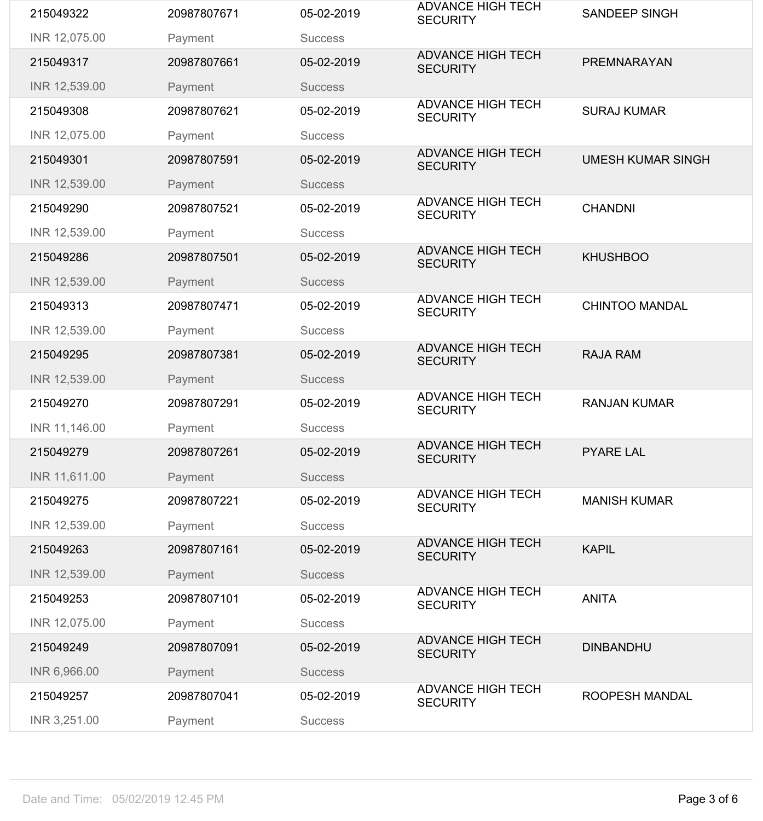| 215049322     | 20987807671 | 05-02-2019     | <b>ADVANCE HIGH TECH</b><br><b>SECURITY</b> | <b>SANDEEP SINGH</b>     |
|---------------|-------------|----------------|---------------------------------------------|--------------------------|
| INR 12,075.00 | Payment     | <b>Success</b> |                                             |                          |
| 215049317     | 20987807661 | 05-02-2019     | <b>ADVANCE HIGH TECH</b><br><b>SECURITY</b> | <b>PREMNARAYAN</b>       |
| INR 12,539.00 | Payment     | <b>Success</b> |                                             |                          |
| 215049308     | 20987807621 | 05-02-2019     | <b>ADVANCE HIGH TECH</b><br><b>SECURITY</b> | <b>SURAJ KUMAR</b>       |
| INR 12,075.00 | Payment     | <b>Success</b> |                                             |                          |
| 215049301     | 20987807591 | 05-02-2019     | <b>ADVANCE HIGH TECH</b><br><b>SECURITY</b> | <b>UMESH KUMAR SINGH</b> |
| INR 12,539.00 | Payment     | <b>Success</b> |                                             |                          |
| 215049290     | 20987807521 | 05-02-2019     | <b>ADVANCE HIGH TECH</b><br><b>SECURITY</b> | <b>CHANDNI</b>           |
| INR 12,539.00 | Payment     | <b>Success</b> |                                             |                          |
| 215049286     | 20987807501 | 05-02-2019     | <b>ADVANCE HIGH TECH</b><br><b>SECURITY</b> | <b>KHUSHBOO</b>          |
| INR 12,539.00 | Payment     | <b>Success</b> |                                             |                          |
| 215049313     | 20987807471 | 05-02-2019     | <b>ADVANCE HIGH TECH</b><br><b>SECURITY</b> | <b>CHINTOO MANDAL</b>    |
| INR 12,539.00 | Payment     | <b>Success</b> |                                             |                          |
| 215049295     | 20987807381 | 05-02-2019     | <b>ADVANCE HIGH TECH</b><br><b>SECURITY</b> | <b>RAJA RAM</b>          |
| INR 12,539.00 | Payment     | <b>Success</b> |                                             |                          |
| 215049270     | 20987807291 | 05-02-2019     | <b>ADVANCE HIGH TECH</b><br><b>SECURITY</b> | <b>RANJAN KUMAR</b>      |
| INR 11,146.00 | Payment     | <b>Success</b> |                                             |                          |
| 215049279     | 20987807261 | 05-02-2019     | <b>ADVANCE HIGH TECH</b><br><b>SECURITY</b> | <b>PYARE LAL</b>         |
| INR 11,611.00 | Payment     | <b>Success</b> |                                             |                          |
| 215049275     | 20987807221 | 05-02-2019     | <b>ADVANCE HIGH TECH</b><br><b>SECURITY</b> | <b>MANISH KUMAR</b>      |
| INR 12,539.00 | Payment     | <b>Success</b> |                                             |                          |
| 215049263     | 20987807161 | 05-02-2019     | <b>ADVANCE HIGH TECH</b><br><b>SECURITY</b> | <b>KAPIL</b>             |
| INR 12,539.00 | Payment     | <b>Success</b> |                                             |                          |
| 215049253     | 20987807101 | 05-02-2019     | <b>ADVANCE HIGH TECH</b><br><b>SECURITY</b> | <b>ANITA</b>             |
| INR 12,075.00 | Payment     | <b>Success</b> |                                             |                          |
| 215049249     | 20987807091 | 05-02-2019     | <b>ADVANCE HIGH TECH</b><br><b>SECURITY</b> | <b>DINBANDHU</b>         |
| INR 6,966.00  | Payment     | <b>Success</b> |                                             |                          |
| 215049257     | 20987807041 | 05-02-2019     | <b>ADVANCE HIGH TECH</b><br><b>SECURITY</b> | ROOPESH MANDAL           |
| INR 3,251.00  | Payment     | <b>Success</b> |                                             |                          |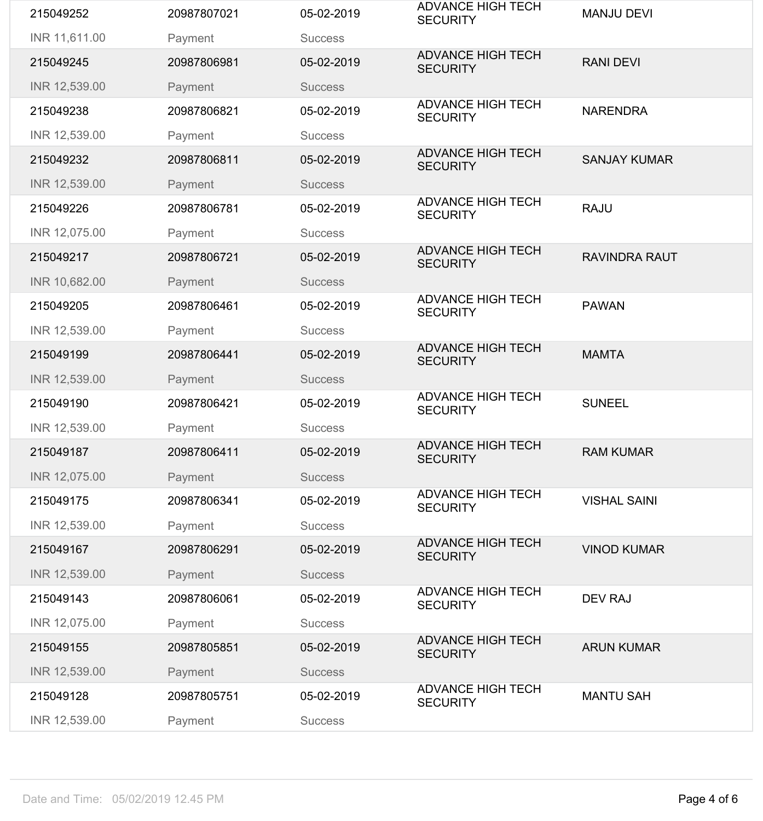| 215049252     | 20987807021 | 05-02-2019     | <b>ADVANCE HIGH TECH</b><br><b>SECURITY</b> | <b>MANJU DEVI</b>    |
|---------------|-------------|----------------|---------------------------------------------|----------------------|
| INR 11,611.00 | Payment     | <b>Success</b> |                                             |                      |
| 215049245     | 20987806981 | 05-02-2019     | <b>ADVANCE HIGH TECH</b><br><b>SECURITY</b> | <b>RANI DEVI</b>     |
| INR 12,539.00 | Payment     | <b>Success</b> |                                             |                      |
| 215049238     | 20987806821 | 05-02-2019     | <b>ADVANCE HIGH TECH</b><br><b>SECURITY</b> | <b>NARENDRA</b>      |
| INR 12,539.00 | Payment     | <b>Success</b> |                                             |                      |
| 215049232     | 20987806811 | 05-02-2019     | <b>ADVANCE HIGH TECH</b><br><b>SECURITY</b> | <b>SANJAY KUMAR</b>  |
| INR 12,539.00 | Payment     | <b>Success</b> |                                             |                      |
| 215049226     | 20987806781 | 05-02-2019     | <b>ADVANCE HIGH TECH</b><br><b>SECURITY</b> | <b>RAJU</b>          |
| INR 12,075.00 | Payment     | <b>Success</b> |                                             |                      |
| 215049217     | 20987806721 | 05-02-2019     | <b>ADVANCE HIGH TECH</b><br><b>SECURITY</b> | <b>RAVINDRA RAUT</b> |
| INR 10,682.00 | Payment     | <b>Success</b> |                                             |                      |
| 215049205     | 20987806461 | 05-02-2019     | <b>ADVANCE HIGH TECH</b><br><b>SECURITY</b> | <b>PAWAN</b>         |
| INR 12,539.00 | Payment     | <b>Success</b> |                                             |                      |
| 215049199     | 20987806441 | 05-02-2019     | <b>ADVANCE HIGH TECH</b><br><b>SECURITY</b> | <b>MAMTA</b>         |
| INR 12,539.00 | Payment     | <b>Success</b> |                                             |                      |
| 215049190     | 20987806421 | 05-02-2019     | <b>ADVANCE HIGH TECH</b><br><b>SECURITY</b> | <b>SUNEEL</b>        |
| INR 12,539.00 | Payment     | <b>Success</b> |                                             |                      |
|               |             |                | <b>ADVANCE HIGH TECH</b>                    |                      |
| 215049187     | 20987806411 | 05-02-2019     | <b>SECURITY</b>                             | <b>RAM KUMAR</b>     |
| INR 12,075.00 | Payment     | <b>Success</b> |                                             |                      |
| 215049175     | 20987806341 | 05-02-2019     | <b>ADVANCE HIGH TECH</b><br><b>SECURITY</b> | <b>VISHAL SAINI</b>  |
| INR 12,539.00 | Payment     | <b>Success</b> |                                             |                      |
| 215049167     | 20987806291 | 05-02-2019     | <b>ADVANCE HIGH TECH</b><br><b>SECURITY</b> | <b>VINOD KUMAR</b>   |
| INR 12,539.00 | Payment     | <b>Success</b> |                                             |                      |
| 215049143     | 20987806061 | 05-02-2019     | <b>ADVANCE HIGH TECH</b><br><b>SECURITY</b> | <b>DEV RAJ</b>       |
| INR 12,075.00 | Payment     | <b>Success</b> |                                             |                      |
| 215049155     | 20987805851 | 05-02-2019     | <b>ADVANCE HIGH TECH</b><br><b>SECURITY</b> | <b>ARUN KUMAR</b>    |
| INR 12,539.00 | Payment     | <b>Success</b> |                                             |                      |
| 215049128     | 20987805751 | 05-02-2019     | <b>ADVANCE HIGH TECH</b><br><b>SECURITY</b> | <b>MANTU SAH</b>     |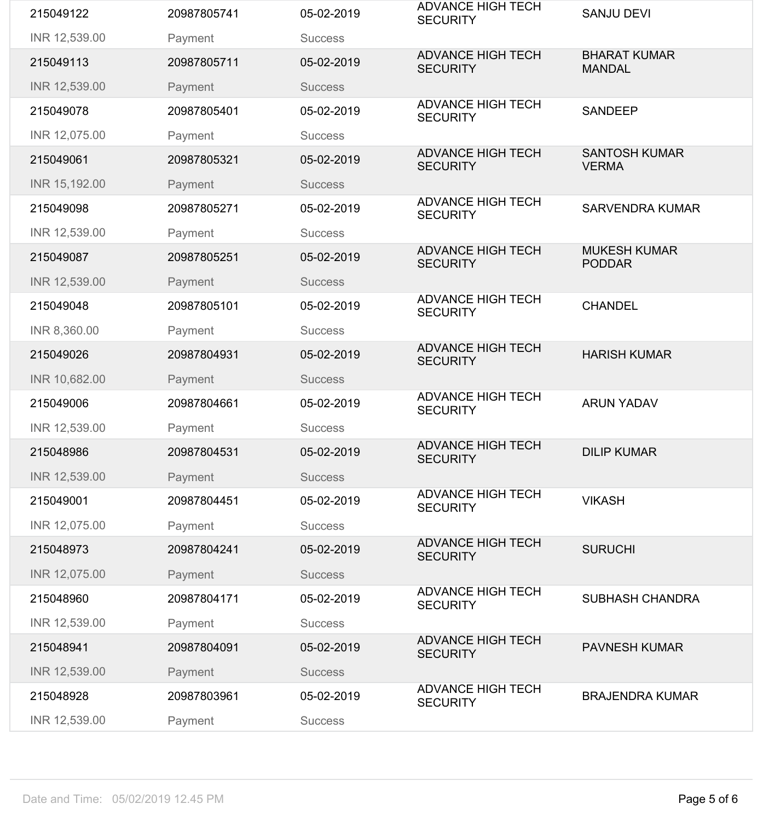| 215049122     | 20987805741 | 05-02-2019     | <b>ADVANCE HIGH TECH</b><br><b>SECURITY</b> | <b>SANJU DEVI</b>                    |
|---------------|-------------|----------------|---------------------------------------------|--------------------------------------|
| INR 12,539.00 | Payment     | <b>Success</b> |                                             |                                      |
| 215049113     | 20987805711 | 05-02-2019     | <b>ADVANCE HIGH TECH</b><br><b>SECURITY</b> | <b>BHARAT KUMAR</b><br><b>MANDAL</b> |
| INR 12,539.00 | Payment     | <b>Success</b> |                                             |                                      |
| 215049078     | 20987805401 | 05-02-2019     | <b>ADVANCE HIGH TECH</b><br><b>SECURITY</b> | <b>SANDEEP</b>                       |
| INR 12,075.00 | Payment     | <b>Success</b> |                                             |                                      |
| 215049061     | 20987805321 | 05-02-2019     | <b>ADVANCE HIGH TECH</b><br><b>SECURITY</b> | <b>SANTOSH KUMAR</b><br><b>VERMA</b> |
| INR 15,192.00 | Payment     | <b>Success</b> |                                             |                                      |
| 215049098     | 20987805271 | 05-02-2019     | <b>ADVANCE HIGH TECH</b><br><b>SECURITY</b> | <b>SARVENDRA KUMAR</b>               |
| INR 12,539.00 | Payment     | <b>Success</b> |                                             |                                      |
| 215049087     | 20987805251 | 05-02-2019     | <b>ADVANCE HIGH TECH</b><br><b>SECURITY</b> | <b>MUKESH KUMAR</b><br><b>PODDAR</b> |
| INR 12,539.00 | Payment     | <b>Success</b> |                                             |                                      |
| 215049048     | 20987805101 | 05-02-2019     | <b>ADVANCE HIGH TECH</b><br><b>SECURITY</b> | <b>CHANDEL</b>                       |
| INR 8,360.00  | Payment     | <b>Success</b> |                                             |                                      |
| 215049026     | 20987804931 | 05-02-2019     | <b>ADVANCE HIGH TECH</b><br><b>SECURITY</b> | <b>HARISH KUMAR</b>                  |
| INR 10,682.00 | Payment     | <b>Success</b> |                                             |                                      |
| 215049006     | 20987804661 | 05-02-2019     | <b>ADVANCE HIGH TECH</b><br><b>SECURITY</b> | <b>ARUN YADAV</b>                    |
| INR 12,539.00 | Payment     | <b>Success</b> |                                             |                                      |
| 215048986     | 20987804531 | 05-02-2019     | <b>ADVANCE HIGH TECH</b><br><b>SECURITY</b> | <b>DILIP KUMAR</b>                   |
| INR 12,539.00 | Payment     | <b>Success</b> |                                             |                                      |
| 215049001     | 20987804451 | 05-02-2019     | <b>ADVANCE HIGH TECH</b><br><b>SECURITY</b> | <b>VIKASH</b>                        |
| INR 12,075.00 | Payment     | <b>Success</b> |                                             |                                      |
| 215048973     | 20987804241 | 05-02-2019     | <b>ADVANCE HIGH TECH</b><br><b>SECURITY</b> | <b>SURUCHI</b>                       |
| INR 12,075.00 | Payment     | <b>Success</b> |                                             |                                      |
| 215048960     | 20987804171 | 05-02-2019     | <b>ADVANCE HIGH TECH</b><br><b>SECURITY</b> | <b>SUBHASH CHANDRA</b>               |
| INR 12,539.00 | Payment     | <b>Success</b> |                                             |                                      |
| 215048941     | 20987804091 | 05-02-2019     | <b>ADVANCE HIGH TECH</b><br><b>SECURITY</b> | <b>PAVNESH KUMAR</b>                 |
| INR 12,539.00 | Payment     | <b>Success</b> |                                             |                                      |
| 215048928     | 20987803961 | 05-02-2019     | <b>ADVANCE HIGH TECH</b><br><b>SECURITY</b> | <b>BRAJENDRA KUMAR</b>               |
| INR 12,539.00 | Payment     | <b>Success</b> |                                             |                                      |